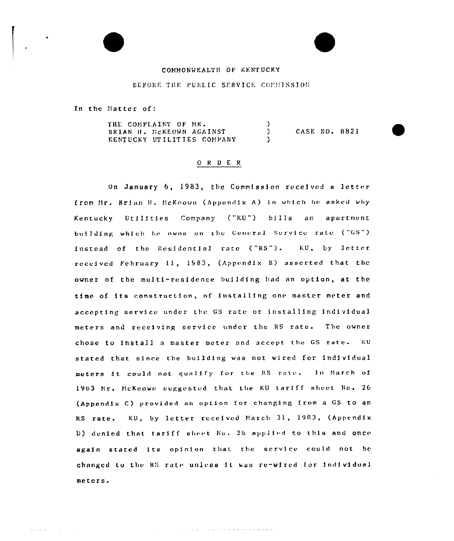## COMMONWEALTH OF KENTUCKY

#### DEFORE THE PUBLIC SERVICE COMMISSION

In the Matter of:

THE COMPLAINT OF MR.  $\lambda$ CASE NO. 8821 BRIAN H. NCKEOWN AGAINST  $\mathcal{L}$ KENTUCKY UTILITIES COMPANY Y

## $O$  R D E R

On January 6, 1983, the Commission received a letter from Hr. Brian H. HcKeown (Appendix A) in which he asked why Kentucky Utilities Company ("KU") bills an apartment building which he owns on the General Service rate ("GS") instead of the Residential rate ("RS"). KU, by letter received February 11, 1983, (Appendix B) asserted that the owner of the multi-residence building had an option, at the time of its construction, of installing one master meter and accepting service under the GS rate or installing individual meters and receiving service under the RS rate. The owner chose to install a master meter and accept the GS rate. KU stated that since the building was not wired for individual meters it could not qualify for the RS rate. In March of 1983 Mr. McKeown suggested that the KU tariff sheet No. 26 (Appendix C) provided an option for changing from a GS to an RS rate. KU, by letter received March 31, 1983, (Appendix D) denied that tariff sheet No. 26 applied to this and once again stated its opinion that the service could not be changed to the RS rate unless it was re-wired for individual meters.

and the state of the state and a state of the state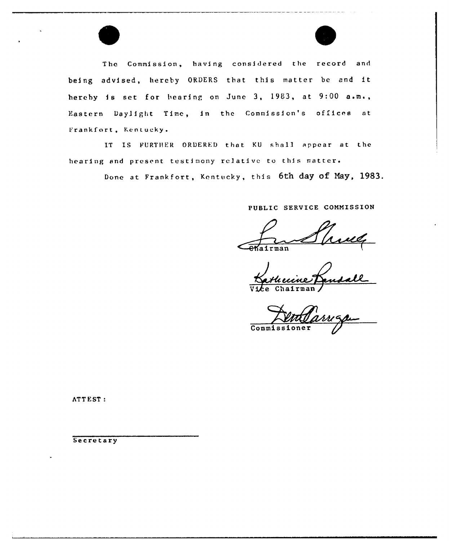

The Commission, having considered the record and being advised, hereby ORDERS that this matter be and it hereby is set for hearing on June 3, 1983, at  $9:00$  a.m., Eastern Daylight Time, in the Commission's offices at Frankfort, Kentucky.

IT IS FURTHER ORDERED that KU shall appear at the hearing and present testimony relative to this matter.

Done at Frankfort, Kentucky, this 6th day of May, 1983.

PUBLIC SERVICE COMMISSION

 $a$ irman

<u>ecine</u>

Vice Chairman

**Commissioner** 

**ATTEST:** 

**Secretary**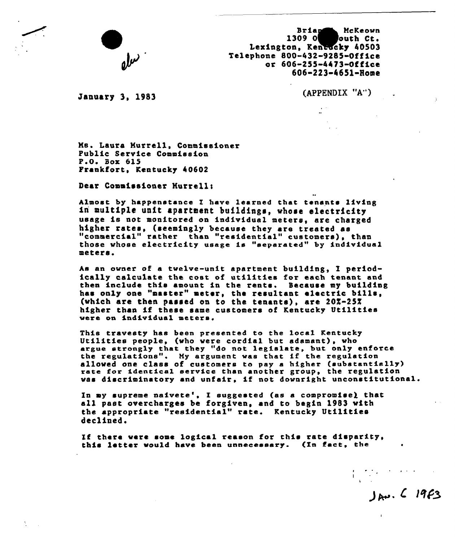

Brian McKeown<br>1309 O outh Ct. louth Ct. Lexington, Kentacky 40503 Telephone 800-432-9285-Office or 606-2SS 4423 Office 606-223 4651-Home

January 3, <sup>1983</sup> (APPENDIX "A")

 $J_{av}$ ,  $C$  19 $F$ 3

Ns. Laura Murrell, Commissioner Public Service Commission P.O. Box 615 Frankfort, Kentucky 40602

Dear Commissioner Hurrell:

Almost by happenstance I have learned that tenants living in multiple unit apartment buildings, whose electricity usage is not monitored on individual meters, are charged higher rates, (seemingly because they are treated as "commercial" rather than "residential" customers), that "commercial" rather than "residential" customers), than<br>those whose electricity usage is "separated" by individual<br>meters.

As an owner of a twelve-unit apartment building, I periodically calculate the cost of utilities for each tenant and then include this amount in the rents. Because my building has only one "master" meter, the resultant electric bills, (which are then passed on to the tenants), are  $20\overline{z}-25\overline{z}$ higher than if these same customers of Kentucky Utilities were on individual meters.

This travesty has been presented to the locai Kentucky Utilities people, (who were cordial but adamant), who argue strongly that they "do not legis1ate, but only enforce the regulations". My argument was that if the regulation allowed one class of customers to pay a higher (substantially rate for identical service than another group, the regulation was discriminatory and unfair, if not downright unconstitutional.

In my supreme naivete', I suggested (as a compromise) that all past overcharges be forgiven, and to begin 1983 with the appropriate "residential" rate. Kentucky Utilities declined.

Zf there were some logical reason for this rate disparity, this letter would have been unnecessary. (In fact, she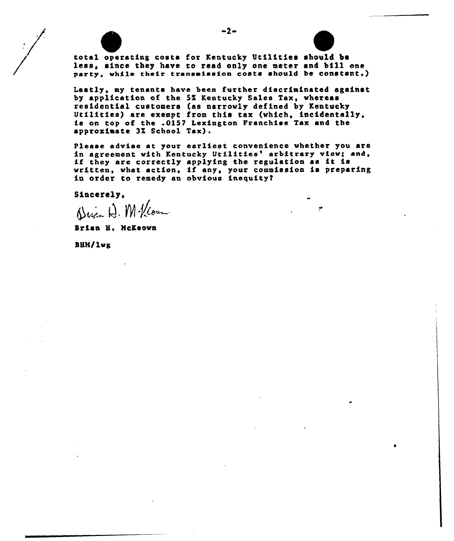

total operating costs for Kentucky Utilities should be less, since they have to read only one meter and bill one party, while their transmission costs should be constant.)

Lastly, my tenants have been further discriminated against by application of the 5% Kentucky Sales Tax, whereas<br>residential customers (as narrowly defined by Kentucky Utilities) are exempt from this tax (which, incidentally, is on top of the .0157 Lexington Franchise Tax and the approximate 3Z School Tax).

Please advise at your earliest convenience whether you are<br>in agreement with Kentucky Utilities' arbitrary view; and, in agreement with Kentucky Utilities' arbitrary view; and, if they are correctly applying the regulation as it is If they are correctly applying the regulation as it is<br>written, what action, if any, your commission is preparin in order to remedy an obvious inequity2

Sincerely,<br> $\bigoplus_{\alpha \in \mathbb{N}} \bigoplus_{\alpha \in \mathbb{N}} M$ / $\bigoplus_{\alpha \in \mathbb{N}}$ 

Brian 8. McKeovn

BHM/lwg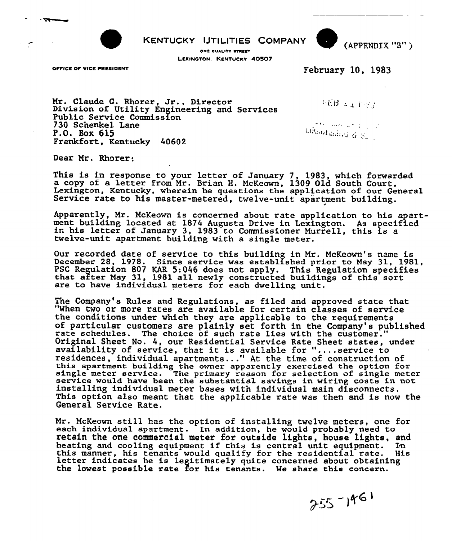

KENTUCKY IJTILITIES COMPANY

ONE QUALITY SYREET LEXINGTON. KENTUCKY 40507

OFFICE OF VICE PRESIDENT



February 10, 1983

Nr. Claude G. Rhorer, Jr., Director Division of Utility Engineering and Services Public Service Commission 730 Schenkel Lane P.O. Box 615 Frankfort, Kentucky 40602

fitte mark of 1000

 $FEB \neq_{\mathcal{I}} T \oplus_{\mathcal{J}}$ 

Lifthurchailed  $\frac{1}{4}$   $\frac{8}{8}$ 

Dear Nr. Rhorer:

This is in response to your letter of January 7, 1983, which forwarde a copy of a letter from Mr. Brian H. McKeown, 1309 Old South Court, Lexington, Kentucky, wherein he questions the application of our General Service rate to his master-metered, twelve-unit apartment building.

Apparently, Nr. NcKeown is concerned about rate application to his apartment building located at <sup>1874</sup> Augusta Drive in Lexington. As specified in his letter of January 3, <sup>1983</sup> to Commissioner Murrell, this is <sup>a</sup> twelve-unit apartment building with a single meter.

Our recorded date of service to this building in Nr. NcKeown's name is December 28, 1978. Since service was established prior to May 31, 1981, PSC Regulation 807 KAR 5:046 does not apply. This Regulation specifie that after May 31, 1981 all newly constructed buildings of this sort are to have individual meters for each dwelling unit.

The Company's Rules and Regulations, as filed and approved state that "When two or more rates are available for certain classes of service the conditions under which they are applicable to the requirements of particular customers are plainly set forth in the Company's published<br>rate schedules. The choice of such rate lies with the customer."<br>Original Sheet No. 4, our Residential Service Rate Sheet states, under Original Sheet No. 4, our Residential Service Rate Sheet states, under availability of service, that it is available for "....service to residences, individual apartments ..." At the time of construction of this apartment building the owner apparently exercised the option for single meter service. The primary reason for selection of single meter service would have been the substantial savings in wiring costs in not installing individual meter bases with individual main disconnects. This option also meant that the applicable rate was then and is now the General Service Rate.

Nr. NcKeown still has the option of installing twelve meters, one for each individual apartment. In addition, he would probably need to retain the one commercial meter for outside lights, house lights, and heating and cooling equipment if this is central unit equipment. In this manner, his tenants would qualify for the residential rate. His letter indicates he is legitimately quite concerned about obtaining the lowest possible rate for his tenants. We share this concern.

 $255 - 1961$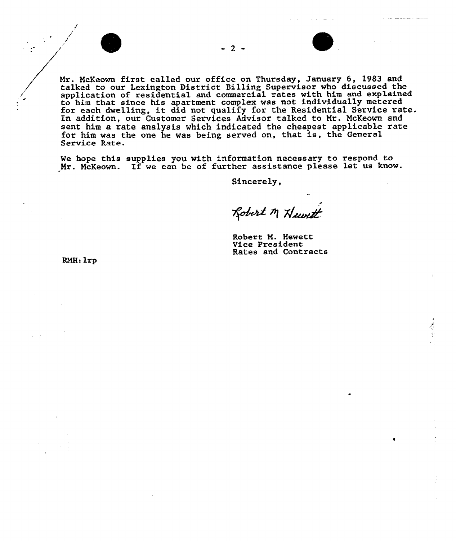-2 -



Mr. McKeown first called our office on Thursday, January 6, 1983 and talked to our Lexington District Billing Supervisox who discussed the application of residential and commercial rates with him and explained to him that since his apartment complex was not individually metered for each dwelling, it did not qualify for the Residentia1 Service rate. In addition, our Customer Services Advisor talked to Mr. McKeown and sent him a rate analysis which indicated the cheapest applicable rate for him was the one he was being served on, that is, the General Service Rate.

Ve hope this supplies you with information necessary to respond to Nr. NcKeown. If we can be of further assistance please let us know.

Sincerely,

Robert M Huvett

Robert N. Hewett Vice President Rates and Contracts

RMH: 1rp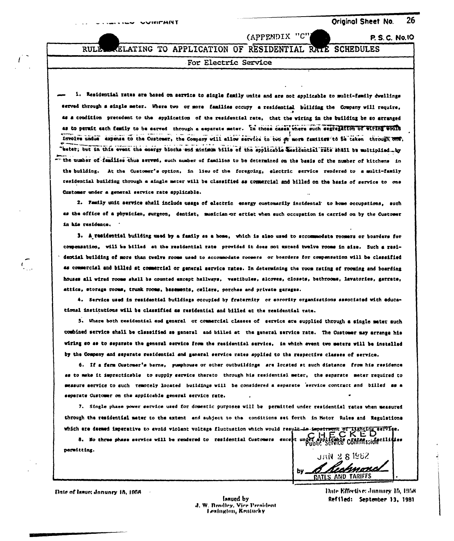P. S. C. No. 10

RULE

 $\int_{\tau}^{\tau}$ 

# (APPENDIX "C"

ELATING TO APPLICATION OF RESIDENTIAL RATE **SCHEDULES** 

### For Electric Service

1. Residential rates are based on service to single family units and are not applicable to multi-family dwellings served through a single meter. Where two or more families occupy a residential building the Company will require, 4s a condition precedent to the application of the residential rate, that the wiring in the building be so arranged as to permit each femily to be earved through a separate meter. In those cases where such segregation of wiring would involve undue expense to the Customer, the Company will allow service to two or more families to be taken through one, "bater; but in this event the energy blocks and minimum bills of the applicable wesdential rate shall be multiplied... by "" the number of families thus served, such number of families to be determined on the basis of the number of kitchens in the building. At the Customer's option, in lieu of the foregoing, electric service rendered to a multi-family residential building through a single meter will be classified as commercial and billed on the basis of service to one Customer under a general service rate applicable.

2. Family unit service shall include usage of electric energy customarily incidental to home occupations, such as the office of a physician, surgeon, dentist, musician or ertiet when such occupation is carried on by the Customer in his residence.

3. A residential building used by a family as a home, which is also used to secommodate roomers or boarders for compensation, will be billed at the residential rate provided it does not exceed twelve rooms in size. Such a residential building of more than twelve rooms used to accommodate roomers or boarders for compensation will be classified as commercial and billed at commercial or general service rates. In determining the room rating of rooming and boarding houses all wired rooms shall be counted except hallways, vestibules, alcoves, closets, bathrooms, lavatories, garrate, attics, storage rooms, trunk rooms, basements, cellars, porches and private garages.

4. Service used in residential buildings occupied by fraternity or sorority organizations associated with educational institutions will be classified as rasidential and billed at the residential rate.

5. Where both residential and general or commercial classes of service are supplied through a single mater such combined service shall be classified as general and billed at the general service rate. The Customer may arrange his wiring so as to separate the general service from the residential service, in which event two meters will be installed by the Company and separate residential and general service rates applied to the respective classes of service.

6. If a ferm Customer's barne, pumphouse or other outbuildings are located at such distance from his residence as to make it impracticable to supply service thereto through his residential meter, the separate meter required to measure service to such remotely located buildings will be considered a separate service contract and billed as a separate Customer on the applicable general service rate.

7. Single phase power service used for domestic purposes will be permitted under residential rates when measured through the residential meter to the extent and subject to the conditions set forth in Motor Rules and Regulations

which are deemed imparative to avoid violent voitage fluctuation which would result in impartment of lighting service.<br>3. No three phase service will be rendered to residential Customers except under enopplement COMMISSION permittius.

JAN 2 8 1962 RATLS AND TARIFFS

Date of Issue: January 15, 1958.

Innued by J. W. Bradley, Vice President Lexington, Kentucky

Date Effective: January 15, 1958 Refiled: September 13, 1981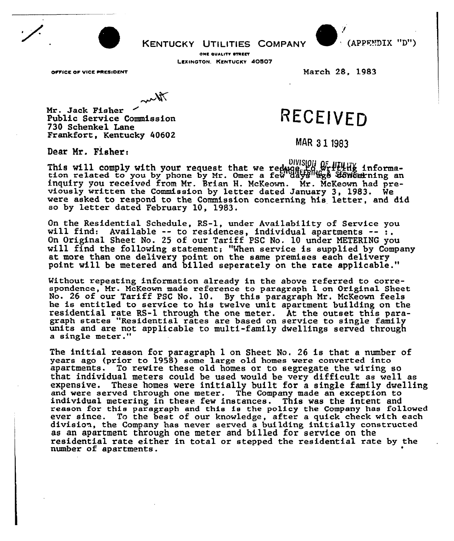**KENTUCKY UTILITIES COMPANY** 



ONE QUALITY STREET LEXINGTON. KENTUCKY 40507

OFFICE OF VICE PRESIDENT

March 28, 1983

Mr. Jack Fisher Public Service Commission 730 Schenkel Lane Frankfort, Kentucky 40602

 $\mathcal{M}$ 

# RECEIVED

MAR 31 1983

Dear Mr. Fisher:

This will comply with your request that we reduce the writtling informa-<br>tion related to you by phone by Mr. Omer a few days go towourning an DIVISION OF PELHE informainquiry you received from Mr. Brian H. McKeown. Mr. McKeown had previously written the Commission by letter dated January 3, 1983. We were asked to respond to the Commission concerning his letter, and did so by letter dated February 10, 1983.

On the Residential Schedule, RS-1, under Availability of Service you<br>will find: Available -- to residences, individual apartments -- :.<br>On Original Sheet No. 25 of our Tariff PSC No. 10 under METERING you will find the following statement; "When service is supplied by Company at more than one delivery point on the same premises each deliver point will be metered and billed seperately on the rate applicable.

Without repeating information already in the above referred to correspondence, Mr. McKeown made reference to paragraph 1 on Original Sheet No. 26 of our Tariff PSC No. 10. Sy this paragraph Mr. McKeown feels he is entitled to service to his twelve unit apartment building on the residential rate RS-1 through the one meter. At the outset this paragraph states "Residential rates are based on service to single family units and are not applicable to multi-family dwellings served through units and are not applicable to multi-family dwellings served through a single meter."

The initial reason for paragraph 1 on Sheet No. 26 is that a number of years ago (prior to 1958) some large old homes were converted into apartments. To rewire these old homes or to segregate the wiring so that individual meters could be used would be very difficult as well as expensive. These homes were initially built for a single family dwelling and were served through one meter. The Company made an exception to individual metering in these few instances. This was the intent and reason for this paragraph and this is the policy the Company has followed ever since. To the best of our knowledge, after a quick check with each division, the Company has never served a building initially constructed as an apartment through one meter and billed for service on the residential rate eithex in total or stepped the residential rate by the number of apartments.